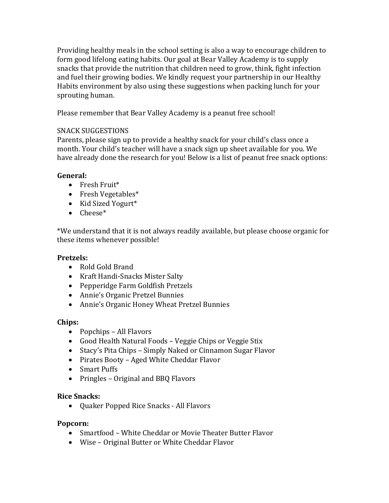Providing healthy meals in the school setting is also a way to encourage children to form good lifelong eating habits. Our goal at Bear Valley Academy is to supply snacks that provide the nutrition that children need to grow, think, fight infection and fuel their growing bodies. We kindly request your partnership in our Healthy Habits environment by also using these suggestions when packing lunch for your sprouting human.

Please remember that Bear Valley Academy is a peanut free school!

## SNACK SUGGESTIONS

Parents, please sign up to provide a healthy snack for your child's class once a month. Your child's teacher will have a snack sign up sheet available for you. We have already done the research for you! Below is a list of peanut free snack options:

## **General:**

- Fresh Fruit\*
- Fresh Vegetables\*
- Kid Sized Yogurt\*
- $\bullet$  Cheese\*

\*We understand that it is not always readily available, but please choose organic for these items whenever possible!

# **Pretzels:**

- Rold Gold Brand
- Kraft Handi-Snacks Mister Salty
- Pepperidge Farm Goldfish Pretzels
- Annie's Organic Pretzel Bunnies
- Annie's Organic Honey Wheat Pretzel Bunnies

# **Chips:**

- Popchips All Flavors
- Good Health Natural Foods Veggie Chips or Veggie Stix
- Stacy's Pita Chips Simply Naked or Cinnamon Sugar Flavor
- Pirates Booty Aged White Cheddar Flavor
- Smart Puffs
- Pringles Original and BBQ Flavors

# **Rice Snacks:**

• Quaker Popped Rice Snacks - All Flavors

# **Popcorn:**

- Smartfood White Cheddar or Movie Theater Butter Flavor
- Wise Original Butter or White Cheddar Flavor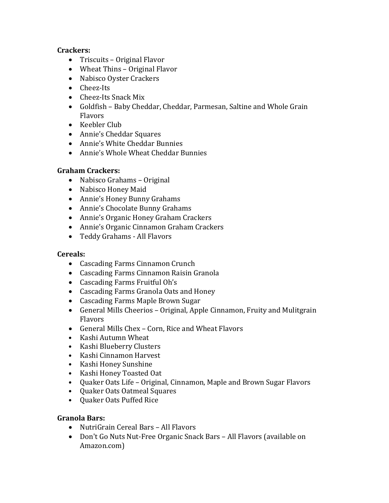## **Crackers:**

- Triscuits Original Flavor
- Wheat Thins Original Flavor
- Nabisco Oyster Crackers
- Cheez-Its
- Cheez-Its Snack Mix
- Goldfish Baby Cheddar, Cheddar, Parmesan, Saltine and Whole Grain Flavors
- Keebler Club
- Annie's Cheddar Squares
- Annie's White Cheddar Bunnies
- Annie's Whole Wheat Cheddar Bunnies

# **Graham Crackers:**

- Nabisco Grahams Original
- Nabisco Honey Maid
- Annie's Honey Bunny Grahams
- Annie's Chocolate Bunny Grahams
- Annie's Organic Honey Graham Crackers
- Annie's Organic Cinnamon Graham Crackers
- Teddy Grahams All Flavors

# **Cereals:**

- Cascading Farms Cinnamon Crunch
- Cascading Farms Cinnamon Raisin Granola
- Cascading Farms Fruitful Oh's
- Cascading Farms Granola Oats and Honey
- Cascading Farms Maple Brown Sugar
- General Mills Cheerios Original, Apple Cinnamon, Fruity and Mulitgrain Flavors
- General Mills Chex Corn, Rice and Wheat Flavors
- Kashi Autumn Wheat
- Kashi Blueberry Clusters
- Kashi Cinnamon Harvest
- Kashi Honey Sunshine
- Kashi Honey Toasted Oat
- Quaker Oats Life Original, Cinnamon, Maple and Brown Sugar Flavors
- Quaker Oats Oatmeal Squares
- Quaker Oats Puffed Rice

# **Granola Bars:**

- NutriGrain Cereal Bars All Flavors
- Don't Go Nuts Nut-Free Organic Snack Bars All Flavors (available on Amazon.com)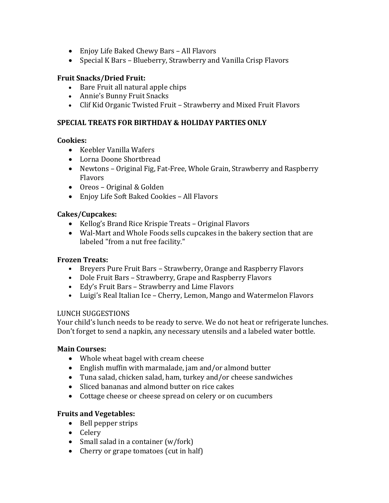- Enjoy Life Baked Chewy Bars All Flavors
- Special K Bars Blueberry, Strawberry and Vanilla Crisp Flavors

### **Fruit Snacks/Dried Fruit:**

- Bare Fruit all natural apple chips
- Annie's Bunny Fruit Snacks
- Clif Kid Organic Twisted Fruit Strawberry and Mixed Fruit Flavors

## **SPECIAL TREATS FOR BIRTHDAY & HOLIDAY PARTIES ONLY**

### **Cookies:**

- Keebler Vanilla Wafers
- Lorna Doone Shortbread
- Newtons Original Fig, Fat-Free, Whole Grain, Strawberry and Raspberry Flavors
- Oreos Original & Golden
- Enjoy Life Soft Baked Cookies All Flavors

### **Cakes/Cupcakes:**

- Kellog's Brand Rice Krispie Treats Original Flavors
- Wal-Mart and Whole Foods sells cupcakes in the bakery section that are labeled "from a nut free facility."

### **Frozen Treats:**

- Breyers Pure Fruit Bars Strawberry, Orange and Raspberry Flavors
- Dole Fruit Bars Strawberry, Grape and Raspberry Flavors
- Edy's Fruit Bars Strawberry and Lime Flavors
- Luigi's Real Italian Ice Cherry, Lemon, Mango and Watermelon Flavors

### LUNCH SUGGESTIONS

Your child's lunch needs to be ready to serve. We do not heat or refrigerate lunches. Don't forget to send a napkin, any necessary utensils and a labeled water bottle.

### **Main Courses:**

- Whole wheat bagel with cream cheese
- English muffin with marmalade, jam and/or almond butter
- Tuna salad, chicken salad, ham, turkey and/or cheese sandwiches
- Sliced bananas and almond butter on rice cakes
- Cottage cheese or cheese spread on celery or on cucumbers

# **Fruits and Vegetables:**

- Bell pepper strips
- Celery
- Small salad in a container  $(w /$  fork)
- Cherry or grape tomatoes (cut in half)